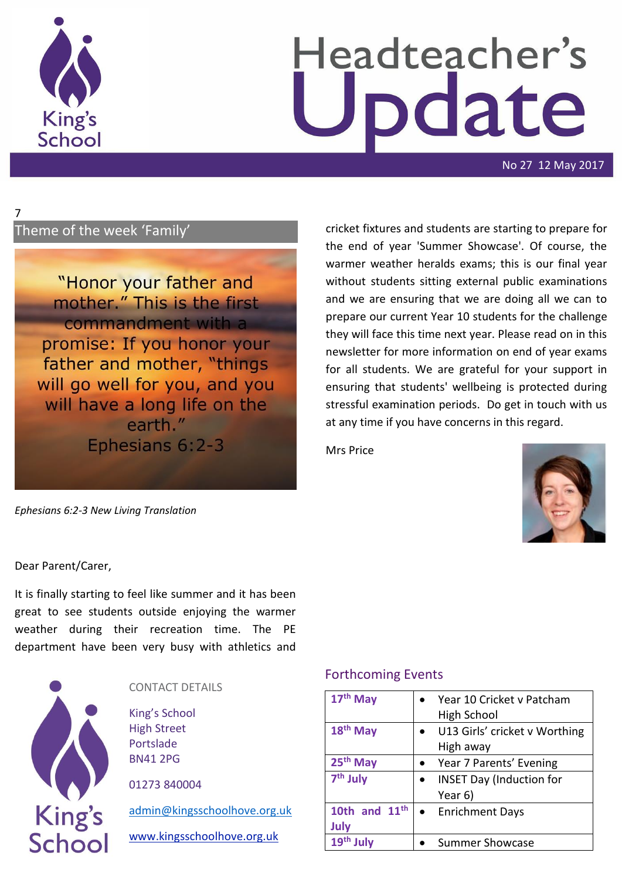

7

# Headteacher's odate

No 27 12 May 2017

# Theme of the week 'Family'

"Honor your father and mother." This is the first commandment with a promise: If you honor your father and mother, "things will go well for you, and you will have a long life on the earth." Ephesians 6:2-3

*Ephesians 6:2-3 New Living Translation*

cricket fixtures and students are starting to prepare for the end of year 'Summer Showcase'. Of course, the warmer weather heralds exams; this is our final year without students sitting external public examinations and we are ensuring that we are doing all we can to prepare our current Year 10 students for the challenge they will face this time next year. Please read on in this newsletter for more information on end of year exams for all students. We are grateful for your support in ensuring that students' wellbeing is protected during stressful examination periods. Do get in touch with us at any time if you have concerns in this regard.

Mrs Price



#### Dear Parent/Carer,

It is finally starting to feel like summer and it has been great to see students outside enjoying the warmer weather during their recreation time. The PE department have been very busy with athletics and



### CONTACT DETAILS

King's School High Street Portslade BN41 2PG

01273 840004

[admin@kingsschoolhove.org.uk](mailto:admin@kingsschoolhove.org.uk)

[www.kingsschoolhove.org.uk](http://www.kingsschoolhove.org.uk/)

### Forthcoming Events

| 17th May                | Year 10 Cricket v Patcham<br>High School   |
|-------------------------|--------------------------------------------|
| $18th$ May              | U13 Girls' cricket v Worthing<br>High away |
| 25 <sup>th</sup> May    | Year 7 Parents' Evening                    |
| 7 <sup>th</sup> July    | <b>INSET Day (Induction for</b><br>Year 6) |
| 10th and $11th$<br>July | • Enrichment Days                          |
| 19 <sup>th</sup>        | <b>Summer Showcase</b>                     |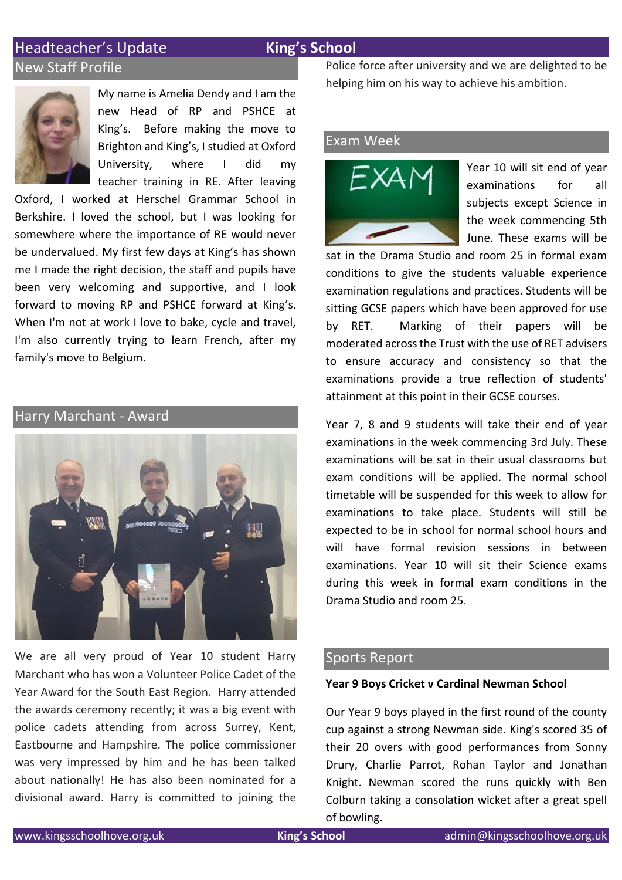# Headteacher's Update **King's School** New Staff Profile



My name is Amelia Dendy and I am the new Head of RP and PSHCE at King's. Before making the move to Brighton and King's, I studied at Oxford University, where I did my teacher training in RE. After leaving

Oxford, I worked at Herschel Grammar School in Berkshire. I loved the school, but I was looking for somewhere where the importance of RE would never be undervalued. My first few days at King's has shown me I made the right decision, the staff and pupils have been very welcoming and supportive, and I look forward to moving RP and PSHCE forward at King's. When I'm not at work I love to bake, cycle and travel, I'm also currently trying to learn French, after my family's move to Belgium.

# Harry Marchant - Award



We are all very proud of Year 10 student Harry Marchant who has won a Volunteer Police Cadet of the Year Award for the South East Region. Harry attended the awards ceremony recently; it was a big event with police cadets attending from across Surrey, Kent, Eastbourne and Hampshire. The police commissioner was very impressed by him and he has been talked about nationally! He has also been nominated for a divisional award. Harry is committed to joining the Police force after university and we are delighted to be helping him on his way to achieve his ambition.

#### Exam Week



Year 10 will sit end of year examinations for all subjects except Science in the week commencing 5th June. These exams will be

sat in the Drama Studio and room 25 in formal exam conditions to give the students valuable experience examination regulations and practices. Students will be sitting GCSE papers which have been approved for use by RET. Marking of their papers will be moderated across the Trust with the use of RET advisers to ensure accuracy and consistency so that the examinations provide a true reflection of students' attainment at this point in their GCSE courses.

Year 7, 8 and 9 students will take their end of year examinations in the week commencing 3rd July. These examinations will be sat in their usual classrooms but exam conditions will be applied. The normal school timetable will be suspended for this week to allow for examinations to take place. Students will still be expected to be in school for normal school hours and will have formal revision sessions in between examinations. Year 10 will sit their Science exams during this week in formal exam conditions in the Drama Studio and room 25.

#### Sports Report

#### **Year 9 Boys Cricket v Cardinal Newman School**

Our Year 9 boys played in the first round of the county cup against a strong Newman side. King's scored 35 of their 20 overs with good performances from Sonny Drury, Charlie Parrot, Rohan Taylor and Jonathan Knight. Newman scored the runs quickly with Ben Colburn taking a consolation wicket after a great spell of bowling.